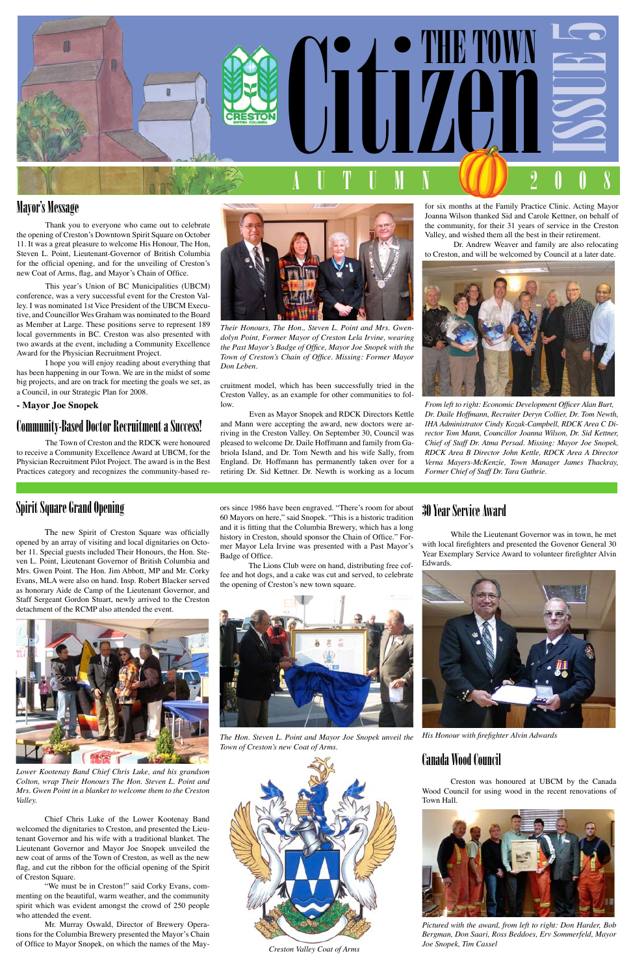

## Mayor's Message

Thank you to everyone who came out to celebrate the opening of Creston's Downtown Spirit Square on October 11. It was a great pleasure to welcome His Honour, The Hon, Steven L. Point, Lieutenant-Governor of British Columbia for the official opening, and for the unveiling of Creston's new Coat of Arms, flag, and Mayor's Chain of Office.

This year's Union of BC Municipalities (UBCM) conference, was a very successful event for the Creston Valley. I was nominated 1st Vice President of the UBCM Executive, and Councillor Wes Graham was nominated to the Board as Member at Large. These positions serve to represent 189 local governments in BC. Creston was also presented with two awards at the event, including a Community Excellence Award for the Physician Recruitment Project.

I hope you will enjoy reading about everything that has been happening in our Town. We are in the midst of some big projects, and are on track for meeting the goals we set, as a Council, in our Strategic Plan for 2008.

### **- Mayor Joe Snopek**

### Community-Based Doctor Recruitment a Success!

The Town of Creston and the RDCK were honoured to receive a Community Excellence Award at UBCM, for the Physician Recruitment Pilot Project. The award is in the Best Practices category and recognizes the community-based refor six months at the Family Practice Clinic. Acting Mayor Joanna Wilson thanked Sid and Carole Kettner, on behalf of the community, for their 31 years of service in the Creston Valley, and wished them all the best in their retirement.

Dr. Andrew Weaver and family are also relocating to Creston, and will be welcomed by Council at a later date.



*From left to right: Economic Development Officer Alan Burt, Dr. Daile Hoffmann, Recruiter Deryn Collier, Dr. Tom Newth, IHA Administrator Cindy Kozak-Campbell, RDCK Area C Director Tom Mann, Councillor Joanna Wilson, Dr. Sid Kettner, Chief of Staff Dr. Atma Persad. Missing: Mayor Joe Snopek, RDCK Area B Director John Kettle, RDCK Area A Director Verna Mayers-McKenzie, Town Manager James Thackray, Former Chief of Staff Dr. Tara Guthrie.*



*Their Honours, The Hon., Steven L. Point and Mrs. Gwendolyn Point, Former Mayor of Creston Lela Irvine, wearing the Past Mayor's Badge of Office, Mayor Joe Snopek with the Town of Creston's Chain of Office. Missing: Former Mayor Don Leben.*

cruitment model, which has been successfully tried in the Creston Valley, as an example for other communities to follow.

Even as Mayor Snopek and RDCK Directors Kettle and Mann were accepting the award, new doctors were arriving in the Creston Valley. On September 30, Council was pleased to welcome Dr. Daile Hoffmann and family from Gabriola Island, and Dr. Tom Newth and his wife Sally, from England. Dr. Hoffmann has permanently taken over for a retiring Dr. Sid Kettner. Dr. Newth is working as a locum

### 30 Year Service Award

While the Lieutenant Governor was in town, he met with local firefighters and presented the Govenor General 30 Year Exemplary Service Award to volunteer firefighter Alvin Edwards.



*His Honour with firefighter Alvin Adwards*

## Canada Wood Council

Creston was honoured at UBCM by the Canada Wood Council for using wood in the recent renovations of Town Hall.



*Pictured with the award, from left to right: Don Harder, Bob Bergman, Don Saari, Ross Beddoes, Erv Sommerfeld, Mayor Joe Snopek, Tim Cassel*

ors since 1986 have been engraved. "There's room for about 60 Mayors on here," said Snopek. "This is a historic tradition and it is fitting that the Columbia Brewery, which has a long history in Creston, should sponsor the Chain of Office." Former Mayor Lela Irvine was presented with a Past Mayor's Badge of Office.

The Lions Club were on hand, distributing free coffee and hot dogs, and a cake was cut and served, to celebrate the opening of Creston's new town square.



*The Hon. Steven L. Point and Mayor Joe Snopek unveil the Town of Creston's new Coat of Arms.*



## Spirit Square Grand Opening

The new Spirit of Creston Square was officially opened by an array of visiting and local dignitaries on October 11. Special guests included Their Honours, the Hon. Steven L. Point, Lieutenant Governor of British Columbia and Mrs. Gwen Point. The Hon. Jim Abbott, MP and Mr. Corky Evans, MLA were also on hand. Insp. Robert Blacker served as honorary Aide de Camp of the Lieutenant Governor, and Staff Sergeant Gordon Stuart, newly arrived to the Creston detachment of the RCMP also attended the event.



*Lower Kootenay Band Chief Chris Luke, and his grandson Colton, wrap Their Honours The Hon. Steven L. Point and Mrs. Gwen Point in a blanket to welcome them to the Creston Valley.*

Chief Chris Luke of the Lower Kootenay Band welcomed the dignitaries to Creston, and presented the Lieutenant Governor and his wife with a traditional blanket. The Lieutenant Governor and Mayor Joe Snopek unveiled the new coat of arms of the Town of Creston, as well as the new flag, and cut the ribbon for the official opening of the Spirit of Creston Square.

"We must be in Creston!" said Corky Evans, commenting on the beautiful, warm weather, and the community spirit which was evident amongst the crowd of 250 people who attended the event.

Mr. Murray Oswald, Director of Brewery Operations for the Columbia Brewery presented the Mayor's Chain of Office to Mayor Snopek, on which the names of the May- *Creston Valley Coat of Arms*